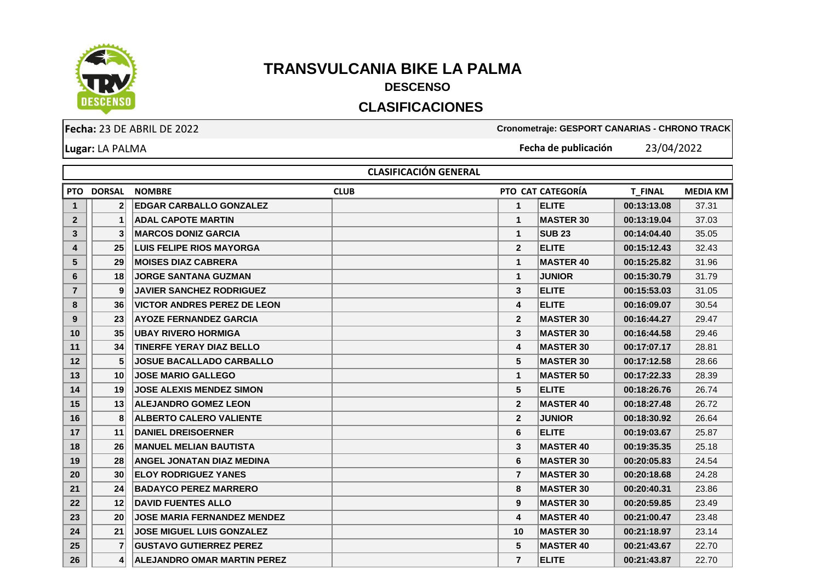

## **TRANSVULCANIA BIKE LA PALMA DESCENSO**

## **CLASIFICACIONES**

**Fecha:** 23 DE ABRIL DE 2022 **Cronometraje: GESPORT CANARIAS - CHRONO TRACK Fecha de publicación** 23/04/2022

**Lugar:** LA PALMA

**PTO DORSAL NOMBRE CLUB PTO CAT CATEGORÍA T\_FINAL MEDIA KM 2 EDGAR CARBALLO GONZALEZ 1 ELITE 00:13:13.08** 37.31 **1 ADAL CAPOTE MARTIN 1 MASTER 30 00:13:19.04** 37.03 **3 MARCOS DONIZ GARCIA 1 SUB 23 00:14:04.40** 35.05 **25 LUIS FELIPE RIOS MAYORGA 2 ELITE 00:15:12.43** 32.43 **29 MOISES DIAZ CABRERA 1 MASTER 40 00:15:25.82** 31.96 **18 JORGE SANTANA GUZMAN 1 JUNIOR 00:15:30.79** 31.79 **9 JAVIER SANCHEZ RODRIGUEZ 3 ELITE 00:15:53.03** 31.05 **36 VICTOR ANDRES PEREZ DE LEON 4 ELITE 00:16:09.07** 30.54 **23 AYOZE FERNANDEZ GARCIA 2 MASTER 30 00:16:44.27** 29.47 **35 UBAY RIVERO HORMIGA 3 MASTER 30 00:16:44.58** 29.46 **34 TINERFE YERAY DIAZ BELLO 4 MASTER 30 00:17:07.17** 28.81 **5 JOSUE BACALLADO CARBALLO 5 MASTER 30 00:17:12.58** 28.66 **10 JOSE MARIO GALLEGO 1 MASTER 50 00:17:22.33** 28.39 **19 JOSE ALEXIS MENDEZ SIMON 5 ELITE 00:18:26.76** 26.74 **13 ALEJANDRO GOMEZ LEON 2 MASTER 40 00:18:27.48** 26.72 **8 ALBERTO CALERO VALIENTE 2 JUNIOR 00:18:30.92** 26.64 **11 DANIEL DREISOERNER 6 ELITE 00:19:03.67** 25.87 **26 MANUEL MELIAN BAUTISTA 3 MASTER 40 00:19:35.35** 25.18 **28 ANGEL JONATAN DIAZ MEDINA 6 MASTER 30 00:20:05.83** 24.54 **30 ELOY RODRIGUEZ YANES 7 MASTER 30 00:20:18.68** 24.28 **24 BADAYCO PEREZ MARRERO 8 MASTER 30 00:20:40.31** 23.86 **12 DAVID FUENTES ALLO 9 MASTER 30 00:20:59.85** 23.49 **20 JOSE MARIA FERNANDEZ MENDEZ 4 MASTER 40 00:21:00.47** 23.48 **21 JOSE MIGUEL LUIS GONZALEZ 10 MASTER 30 00:21:18.97** 23.14 **7 GUSTAVO GUTIERREZ PEREZ 5 MASTER 40 00:21:43.67** 22.70  **CLASIFICACIÓN GENERAL**

**4 ALEJANDRO OMAR MARTIN PEREZ 7 ELITE 00:21:43.87** 22.70